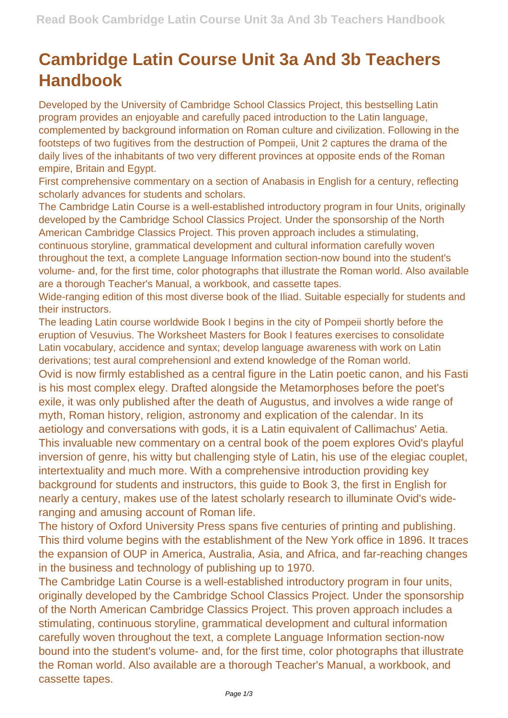## **Cambridge Latin Course Unit 3a And 3b Teachers Handbook**

Developed by the University of Cambridge School Classics Project, this bestselling Latin program provides an enjoyable and carefully paced introduction to the Latin language, complemented by background information on Roman culture and civilization. Following in the footsteps of two fugitives from the destruction of Pompeii, Unit 2 captures the drama of the daily lives of the inhabitants of two very different provinces at opposite ends of the Roman empire, Britain and Egypt.

First comprehensive commentary on a section of Anabasis in English for a century, reflecting scholarly advances for students and scholars.

The Cambridge Latin Course is a well-established introductory program in four Units, originally developed by the Cambridge School Classics Project. Under the sponsorship of the North American Cambridge Classics Project. This proven approach includes a stimulating, continuous storyline, grammatical development and cultural information carefully woven throughout the text, a complete Language Information section-now bound into the student's volume- and, for the first time, color photographs that illustrate the Roman world. Also available are a thorough Teacher's Manual, a workbook, and cassette tapes.

Wide-ranging edition of this most diverse book of the Iliad. Suitable especially for students and their instructors.

The leading Latin course worldwide Book I begins in the city of Pompeii shortly before the eruption of Vesuvius. The Worksheet Masters for Book I features exercises to consolidate Latin vocabulary, accidence and syntax; develop language awareness with work on Latin derivations; test aural comprehensionl and extend knowledge of the Roman world.

Ovid is now firmly established as a central figure in the Latin poetic canon, and his Fasti is his most complex elegy. Drafted alongside the Metamorphoses before the poet's exile, it was only published after the death of Augustus, and involves a wide range of myth, Roman history, religion, astronomy and explication of the calendar. In its aetiology and conversations with gods, it is a Latin equivalent of Callimachus' Aetia. This invaluable new commentary on a central book of the poem explores Ovid's playful inversion of genre, his witty but challenging style of Latin, his use of the elegiac couplet, intertextuality and much more. With a comprehensive introduction providing key background for students and instructors, this guide to Book 3, the first in English for nearly a century, makes use of the latest scholarly research to illuminate Ovid's wideranging and amusing account of Roman life.

The history of Oxford University Press spans five centuries of printing and publishing. This third volume begins with the establishment of the New York office in 1896. It traces the expansion of OUP in America, Australia, Asia, and Africa, and far-reaching changes in the business and technology of publishing up to 1970.

The Cambridge Latin Course is a well-established introductory program in four units, originally developed by the Cambridge School Classics Project. Under the sponsorship of the North American Cambridge Classics Project. This proven approach includes a stimulating, continuous storyline, grammatical development and cultural information carefully woven throughout the text, a complete Language Information section-now bound into the student's volume- and, for the first time, color photographs that illustrate the Roman world. Also available are a thorough Teacher's Manual, a workbook, and cassette tapes.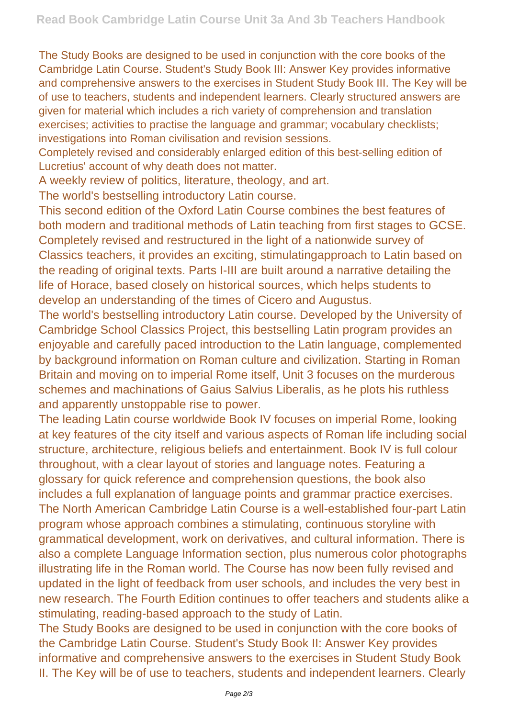The Study Books are designed to be used in conjunction with the core books of the Cambridge Latin Course. Student's Study Book III: Answer Key provides informative and comprehensive answers to the exercises in Student Study Book III. The Key will be of use to teachers, students and independent learners. Clearly structured answers are given for material which includes a rich variety of comprehension and translation exercises; activities to practise the language and grammar; vocabulary checklists; investigations into Roman civilisation and revision sessions.

Completely revised and considerably enlarged edition of this best-selling edition of Lucretius' account of why death does not matter.

A weekly review of politics, literature, theology, and art.

The world's bestselling introductory Latin course.

This second edition of the Oxford Latin Course combines the best features of both modern and traditional methods of Latin teaching from first stages to GCSE. Completely revised and restructured in the light of a nationwide survey of Classics teachers, it provides an exciting, stimulatingapproach to Latin based on the reading of original texts. Parts I-III are built around a narrative detailing the life of Horace, based closely on historical sources, which helps students to develop an understanding of the times of Cicero and Augustus.

The world's bestselling introductory Latin course. Developed by the University of Cambridge School Classics Project, this bestselling Latin program provides an enjoyable and carefully paced introduction to the Latin language, complemented by background information on Roman culture and civilization. Starting in Roman Britain and moving on to imperial Rome itself, Unit 3 focuses on the murderous schemes and machinations of Gaius Salvius Liberalis, as he plots his ruthless and apparently unstoppable rise to power.

The leading Latin course worldwide Book IV focuses on imperial Rome, looking at key features of the city itself and various aspects of Roman life including social structure, architecture, religious beliefs and entertainment. Book IV is full colour throughout, with a clear layout of stories and language notes. Featuring a glossary for quick reference and comprehension questions, the book also includes a full explanation of language points and grammar practice exercises. The North American Cambridge Latin Course is a well-established four-part Latin program whose approach combines a stimulating, continuous storyline with grammatical development, work on derivatives, and cultural information. There is also a complete Language Information section, plus numerous color photographs illustrating life in the Roman world. The Course has now been fully revised and updated in the light of feedback from user schools, and includes the very best in new research. The Fourth Edition continues to offer teachers and students alike a stimulating, reading-based approach to the study of Latin.

The Study Books are designed to be used in conjunction with the core books of the Cambridge Latin Course. Student's Study Book II: Answer Key provides informative and comprehensive answers to the exercises in Student Study Book II. The Key will be of use to teachers, students and independent learners. Clearly